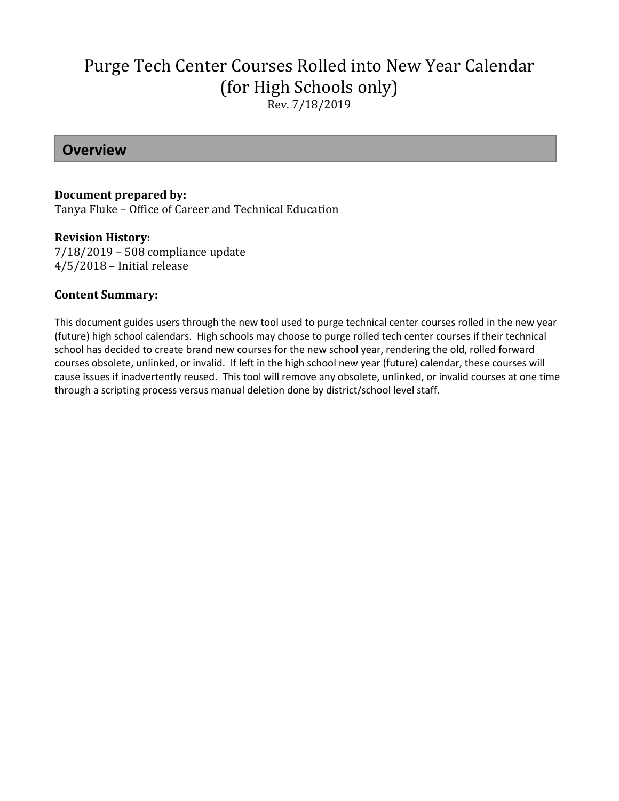# Purge Tech Center Courses Rolled into New Year Calendar (for High Schools only) Rev. 7/18/2019

### **Overview**

#### **Document prepared by:**

Tanya Fluke – Office of Career and Technical Education

#### **Revision History:**

7/18/2019 – 508 compliance update 4/5/2018 – Initial release

#### **Content Summary:**

This document guides users through the new tool used to purge technical center courses rolled in the new year (future) high school calendars. High schools may choose to purge rolled tech center courses if their technical school has decided to create brand new courses for the new school year, rendering the old, rolled forward courses obsolete, unlinked, or invalid. If left in the high school new year (future) calendar, these courses will cause issues if inadvertently reused. This tool will remove any obsolete, unlinked, or invalid courses at one time through a scripting process versus manual deletion done by district/school level staff.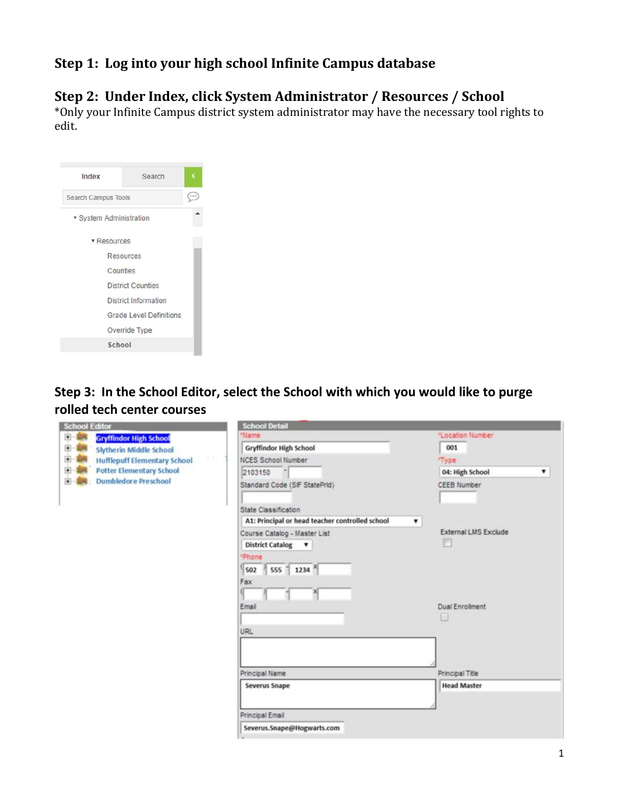## **Step 1: Log into your high school Infinite Campus database**

### **Step 2: Under Index, click System Administrator / Resources / School**

\*Only your Infinite Campus district system administrator may have the necessary tool rights to edit.

| Index                   | Search                         |  |
|-------------------------|--------------------------------|--|
| Search Campus Tools     |                                |  |
| · System Administration |                                |  |
| <b>v</b> Resources      |                                |  |
|                         | Resources                      |  |
|                         | Counties                       |  |
|                         | <b>District Counties</b>       |  |
|                         | <b>District Information</b>    |  |
|                         | <b>Grade Level Definitions</b> |  |
|                         | Override Type                  |  |
|                         | School                         |  |

**Step 3: In the School Editor, select the School with which you would like to purge rolled tech center courses**

| <b>School Editor</b>                            | <b>School Detail</b>                                 |                      |
|-------------------------------------------------|------------------------------------------------------|----------------------|
| <b>D-08</b><br><b>Gryffindor High School</b>    | *Name                                                | *Location Number     |
| 田朝<br><b>Slytherin Middle School</b>            | <b>Gryffindor High School</b>                        | 001                  |
| ÷<br>-18<br><b>Hufflepuff Elementary School</b> | <b>NCES School Number</b>                            | "Type                |
| ⊕<br><b>Potter Elementary School</b>            | 2103150                                              | 04: High School<br>۰ |
| <b>Dumbledore Preschool</b><br>中 邮              | Standard Code (SIF StatePrid)                        | <b>CEEB Number</b>   |
|                                                 | State Classification                                 |                      |
|                                                 | A1: Principal or head teacher controlled school<br>۰ |                      |
|                                                 | Course Catalog - Master List                         | External LMS Exclude |
|                                                 | District Catalog v                                   |                      |
|                                                 | <b>Phone</b>                                         |                      |
|                                                 | $555 - 1234$<br>502                                  |                      |
|                                                 | Fax                                                  |                      |
|                                                 |                                                      |                      |
|                                                 | Email                                                | Dual Enrolment       |
|                                                 |                                                      | u                    |
|                                                 | <b>URL</b>                                           |                      |
|                                                 |                                                      |                      |
|                                                 |                                                      |                      |
|                                                 | Principal Name                                       | Principal Title      |
|                                                 | <b>Severus Snape</b>                                 | <b>Head Master</b>   |
|                                                 |                                                      |                      |
|                                                 | Principal Email                                      |                      |
|                                                 | Severus.Snape@Hogwarts.com                           |                      |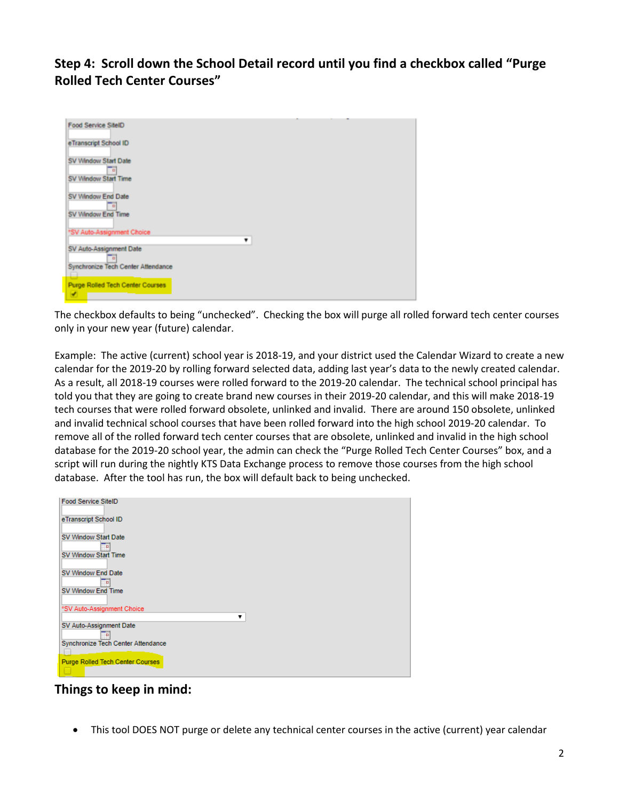**Step 4: Scroll down the School Detail record until you find a checkbox called "Purge Rolled Tech Center Courses"**

| Food Service SitelD                          |  |  |
|----------------------------------------------|--|--|
| eTranscript School ID                        |  |  |
| SV Window Start Date<br>в                    |  |  |
| SV Window Start Time                         |  |  |
| SV Window End Date<br>в                      |  |  |
| SV Window End Time                           |  |  |
| *SV Auto-Assignment Choice                   |  |  |
| SV Auto-Assignment Date                      |  |  |
| Synchronize Tech Center Attendance           |  |  |
| <b>Purge Rolled Tech Center Courses</b><br>× |  |  |
|                                              |  |  |

The checkbox defaults to being "unchecked". Checking the box will purge all rolled forward tech center courses only in your new year (future) calendar.

Example: The active (current) school year is 2018-19, and your district used the Calendar Wizard to create a new calendar for the 2019-20 by rolling forward selected data, adding last year's data to the newly created calendar. As a result, all 2018-19 courses were rolled forward to the 2019-20 calendar. The technical school principal has told you that they are going to create brand new courses in their 2019-20 calendar, and this will make 2018-19 tech courses that were rolled forward obsolete, unlinked and invalid. There are around 150 obsolete, unlinked and invalid technical school courses that have been rolled forward into the high school 2019-20 calendar. To remove all of the rolled forward tech center courses that are obsolete, unlinked and invalid in the high school database for the 2019-20 school year, the admin can check the "Purge Rolled Tech Center Courses" box, and a script will run during the nightly KTS Data Exchange process to remove those courses from the high school database. After the tool has run, the box will default back to being unchecked.

| <b>Food Service SiteID</b>         |
|------------------------------------|
| eTranscript School ID              |
| SV Window Start Date               |
|                                    |
| SV Window Start Time               |
| SV Window End Date                 |
| п                                  |
| SV Window End Time                 |
| *SV Auto-Assignment Choice         |
|                                    |
| SV Auto-Assignment Date            |
|                                    |
| Synchronize Tech Center Attendance |
|                                    |
| Purge Rolled Tech Center Courses   |
|                                    |

**Things to keep in mind:**

• This tool DOES NOT purge or delete any technical center courses in the active (current) year calendar